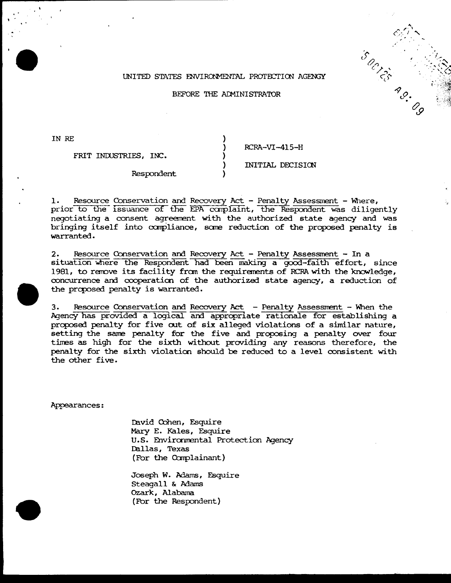### UNITED STATES ENVIRONMENTAL PROTECTION AGENGY

### BEFORE THE ADMINISTRATOR

IN RE

FRIT INDUSTRIES, INC.

 $RCRA-VI-415-H$ 

# INITIAL DECISION

Respondent

Resource Conservation and Recovery Act - Penalty Assessment - Where, 1. prior to the issuance of the EPA complaint, the Respondent was diligently negotiating a consent agreement with the authorized state agency and was bringing itself into compliance, some reduction of the proposed penalty is warranted.

Resource Conservation and Recovery Act - Penalty Assessment - In a  $2.$ situation where the Respondent had been making a good-faith effort, since 1981, to remove its facility from the requirements of RCRA with the knowledge, concurrence and cooperation of the authorized state agency, a reduction of the proposed penalty is warranted.

Resource Conservation and Recovery Act - Penalty Assessment - When the  $3.$ Agency has provided a logical and appropriate rationale for establishing a proposed penalty for five out of six alleged violations of a similar nature, setting the same penalty for the five and proposing a penalty over four times as high for the sixth without providing any reasons therefore, the penalty for the sixth violation should be reduced to a level consistent with the other five.

Appearances:

David Cohen, Esquire Mary E. Kales, Esquire U.S. Environmental Protection Agency Dallas, Texas (For the Complainant)

Joseph W. Adams, Esquire Steagall & Adams Ozark, Alabama (For the Respondent)

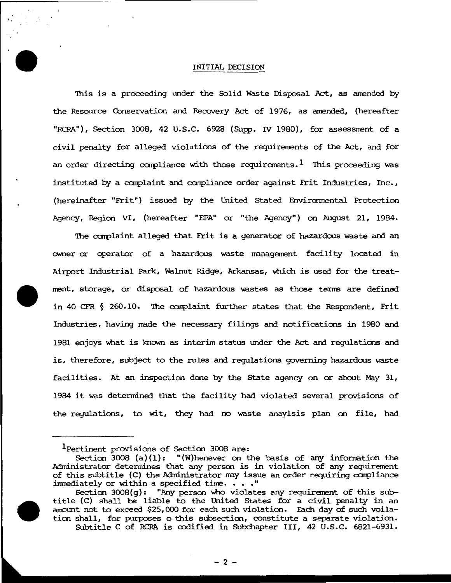#### INITIAL DECISION

 $\mathbf{r}_i^{\dagger}$ 

This is a proceeding under the Solid Waste Disposal Act, as amended by the Resource Conservation and Recovery Act of 1976, as amended, (hereafter "RCRA"), Section 3008, 42 U.S.C. 6928 (Supp. IV 1980), for assessment of a civil penalty for alleged violations of the requirements of the Act, and for an order directing compliance with those requirements. I This proceeding was instituted by a carplaint and carpliance order against Frit Industries, Inc., (hereinafter "Frit") issued by the United Stated Environmental Protection Agency, Region VI, (hereafter "EPA" or "the Agency") on August 21, 1984.

The complaint alleged that Frit is a generator of hazardous waste and an owner or operator of a hazardous waste management facility located in Airport Industrial Park, Walnut Ridge, Arkansas, Which is used for the treat-Irent, storage, or disposal of hazardous wastes as those tenns are defined in 40 CFR  $\S$  260.10. The complaint further states that the Respondent, Frit Industries, having made the necessary filings and notifications in 1980 and 1981 enjoys what is known as interim status under the Act and regulations and is, therefore, subject to the rules and regulations governing hazardous waste facilities. At an inspection done by the State agency on or about May 31, 1984 it was determined that the facility had violated several provisions of the regulations, to wit, they had no waste anaylsis plan on file, had

Section 3008(g): "Any person Who violates any requirerent of this subtitle (C) shall be liable to the United States for a civil penalty in an amount not to exceed \$25,000 for each such violation. Each day of such voilation shall, for purposes o this subsection, constitute a separate violation. SUbtitle C of RCRA is codified in Subchapter III, 42 u.s.c. 6821-6931.



lpertinent provisions of Section 3008 are:

Section 3008 (a)(l): "(W)henever on the basis of any information the Administrator determines that any person is in violation of any requirement of this subtitle (C) the Administrator may issue an order requiring compliance immediately or within a specified time.  $\cdots$ ."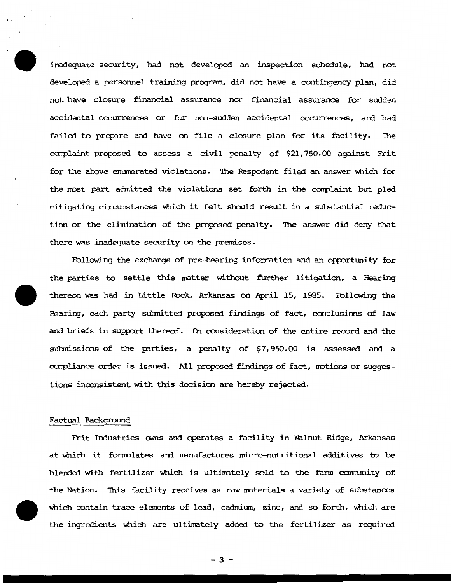inadequate security, had not developed an inspection schedule, had not developed a personnel training program, did not have a contingency plan, did not have closure financial assurance nor financial assurance for sudden accidental occurrences or for non-sudden accidental occurrences, and had failed to prepare and have on file a closure plan for its facility. 'Ihe complaint proposed to assess a civil penalty of \$21,750.00 against Frit for the above enumerated violations. The Respodent filed an answer which for the most part admitted the violations set forth in the complaint but pled mitigating circumstances which it felt should result in a substantial reduction or the elimination of the proposed penalty. The answer did deny that there was inadequate security on the premises.

Following the exchange of pre-hearing information and an opportunity for the parties to settle this matter without further litigation, a Hearing thereon was had in Little Rock, Arkansas on April 15, 1985. Following the Hearing, each party submitted proposed findings of fact, conclusions of law and briefs in support thereof. On consideration of the entire record and the subnissians of the parties, a penalty of \$7,950.00 is assessed and <sup>a</sup> carpliance order is issued. All proposed findings of fact, notions or suggestions inconsistent with this decision are hereby rejected.

#### Factual Background

Frit Industries owns and operates a facility in Walnut Ridge, Arkansas at which it formulates and manufactures micro-nutritional additives to be blended with fertilizer which is ultimately sold to the farm community of the Nation. This facility receives as raw materials a variety of substances 'which contain trace elements of lead, cadmium, zinc, and so forth, 'which are the ingredients which are ultimately added to the fertilizer as required

- 3-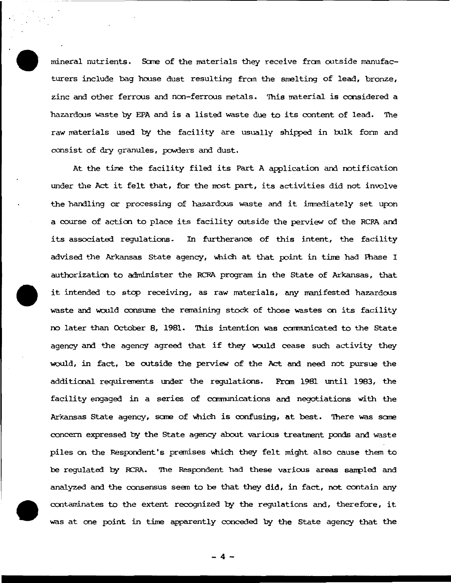mineral nutrients. Sane of the naterials they receive fran outside manufacturers include bag hoose dust resulting fran the smelting of lead, bronze, zinc and other ferroos and non-ferrous metals. 'Ihis naterial is ccnsidered a hazardoos waste by EPA and is a listed waste due to its content of lead. 'Ihe raw materials used by the facility are usually shipped in bulk form and consist of dry granules, powders and dust.

At the time the facility filed its Part A application and notification under the Act it felt that, for the most part, its activities did not involve the handling or processing of hazardous waste and it immediately set upon a course of action to place its facility outside the perview of the RCRA and its associated regulations. In furtherance of this intent, the facility advised the Arkansas State agency, which at that point in time had Phase I authorizaticn to administer the RCRA program in the State of Arkansas, that it intended to stop receiving, as raw naterials, any manifested hazardoos waste and would consume the remaining stock of those wastes on its facility no later than October 8, 1981. '!his intention was ccmnunicated to the State agency and the agency agreed that if they would cease such activity they 'WOUld, in fact, be outside the perview of the Act and need not pursue the additional requirements under the regulations. Fran 1981 until 1983, the facility engaged in a series of crnmunications and negotiations with the Arkansas State agency, sane of Which is confusing, at best. '!here was sane concern expressed by the State agency about varioos treatment ponds and waste piles on the Respondent's premises which they felt might also cause them to be regulated by RCAA. 'Ihe Respondent had these various areas sanpled and analyzed and the consensus seem to be that they did, in fact, not contain any contaminates to the extent recognized by the regulations and, therefore, it was at one point in time apparently conceded by the State agency that the

- 4-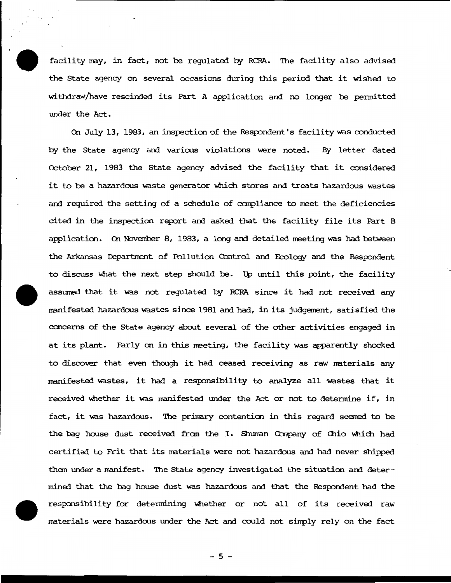facility may, in fact, not be requlated by RCRA. The facility also advised the State agency on several occasions during this period that it wished to withdraw/have rescinded its Part A application and no longer be pennitted under the Act.

On July 13, 1983, an inspection of the Respondent's facility was conducted by the State agency and various violations were noted. By letter dated Cctober 21, 1983 the State agency advised the facility that it ccnsidered it to be a hazardous waste generator which stores and treats hazardous wastes and required the setting of a schedule of compliance to meet the deficiencies cited in the inspection report and asked that the facility file its Part B application. On November 8, 1983, a long and detailed meeting was had between the Arkansas Department of Pollution Control and Ecology and the Respondent to discuss what the next step should be. Up until this point, the facility assurred that it was not regulated by RCRA since it had not received any manifested hazardous wastes since 1981 and had, in its judgement, satisfied the concerns of the State agency about several of the other activities engaged in at its plant. Farly on in this meeting, the facility was apparently shocked to discover that even though it had ceased receiving as raw materials any manifested wastes, it had a responsibility to analyze all wastes that it received whether it was manifested under the Act or not to determine if, in fact, it was hazardous. The primary contention in this regard seemed to be the bag house dust received from the I. Shuman Company of Chio which had certified to Frit that its materials were not hazardous and had never shipped them under a manifest. The State agency investigated the situation and determined that the bag house dust was hazardous and that the Respondent had the responsibility for determining whether or not all of its received raw materials were hazardous under the Act and could not simply rely on the fact

 $-5-$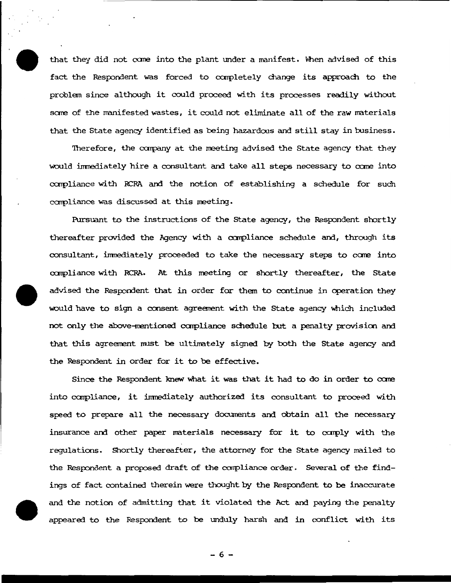that they did not come into the plant under a manifest. When advised of this fact the Respondent was forced to completely change its approach to the problem since although it could proceed with its processes readily without some of the manifested wastes, it could not eliminate all of the raw materials that the State agency identified as being hazardous and still stay in business.

'Therefore, the carpany at the meeting advised the State agency that they would immediately hire a consultant and take all steps necessary to come into ccnpliance with RCRA and the notion of establishing a schedule for such compliance was discussed at this meeting.

Pursuant to the instructions of the state agency, the Respondent shortly thereafter provided the Agency with a compliance schedule and, through its consultant, immediately proceeded to take the necessary steps to come into compliance with RCRA. At this meeting or shortly thereafter, the State advised the Respondent that in order for them to continue in operation they would have to sign a consent agreement with the State agency which included not only the above-mentioned compliance schedule but a penalty provision and that this agreement must be ultimately signed by both the State agency and the Respondent in order for it to be effective.

Since the Respondent knew what it was that it had to do in order to come into compliance, it immediately authorized its consultant to proceed with speed to prepare all the necessary documents and obtain all the necessary insurance and other paper materials necessary for it to comply with the regulations. Shortly thereafter, the attorney for the State agency nailed to the Respondent a proposed draft of the compliance order. Several of the findings of fact contained therein were thought by the Respondent to be inaccurate and the notion of admitting that it violated the Act and paying the penalty appeared to the Respondent to be unduly harsh and in conflict with its

- 6-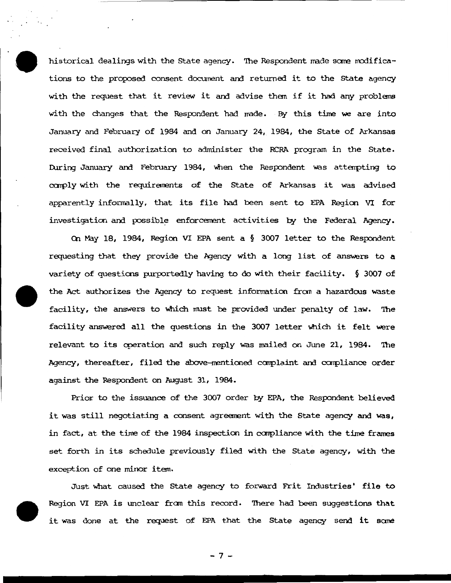historical dealings with the State agency. The Respondent made some modifications to the proposed consent document and returned it to the State agency with the request that it review it and advise them if it had any problems with the changes that the Respondent had made. By this time we are into January and February of 1984 and on January 24, 1984, the State of Arkansas received final authorization to administer the RCRA program in the State. During January and February 1984, when the Respondent was attempting to comply with the requirements of the State of Arkansas it was advised apparently informally, that its file had been sent to EPA Region VI for investigation and possible enforcement activities by the Federal Agency.

On May 18, 1984, Region VI EPA sent a § 3007 letter to the Respondent requesting that they provide the Agency with a long list of answers to a variety of questions purportedly having to do with their facility.  $\S$  3007 of the Act authorizes the Agency to request information from a hazardous waste facility, the answers to which must be provided under penalty of law. The facility answered all the questions in the 3007 letter which it felt were relevant to its operation and such reply was mailed on June 21, 1984. The Agency, thereafter, filed the above-mentioned complaint and compliance order against the Respondent on August 31, 1984.

Prior to the issuance of the 3007 order by EPA, the Respondent believed it was still negotiating a consent agreement with the State agency and was, in fact, at the time of the 1984 inspection in compliance with the time frames set forth in its schedule previously filed with the State agency, with the exception of one minor item.

Just what caused the State agency to forward Frit Industries' file to Region VI EPA is unclear from this record. There had been suggestions that it was done at the request of EPA that the State agency send it some

 $-7-$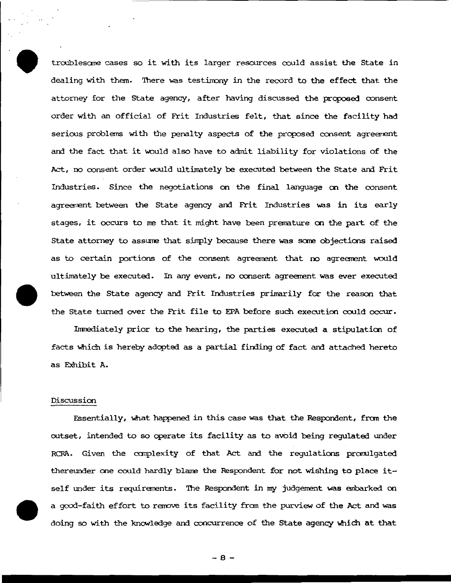troublesome cases so it with its larger resources could assist the State in dealing with them. There was testimony in the record to the effect that the attorney for the State agency, after having discussed the proposed consent order with an official of Frit Industries felt, that since the facility had serious problems with the penalty aspects of the proposed consent agreement and the fact that it would also have to admit liability for violations of the Act, no consent order would ultimately be executed between the State and Frit Industries. Since the negotiations on the final language on the consent agreerrent between the State agency and Frit Industries was in its early stages, it occurs to me that it might have been premature on the part of the State attorney to assune that sinply because there was scme objections raised as to certain portions of the consent agreement that no agreement would ultimately be executed. In any event, no consent agreement was ever executed between the State agency and Frit Industries primarily for the reason that the State turned over the Frit file to EPA before such execution could occur.

Inmediately prior to the hearing, the parties executed a stipulaticn of facts which is hereby adopted as a partial finding of fact and attached hereto as Exhibit A.

### Discussion

Essentially, what happened in this case was that the Respondent, from the outset, intended to so operate its facility as to avbid being regulated under RCRA. Given the ccrnplexity of that Act and the regulations prarulgated thereunder one could hardly blame the Respondent for not wishing to place itself under its requirements. The Respondent in my judgement was embarked on a good-faith effort to rerrove its facility fran the purview of the Act and was doing so with the knONledge and concurrence of the State agency Which at that

- 8-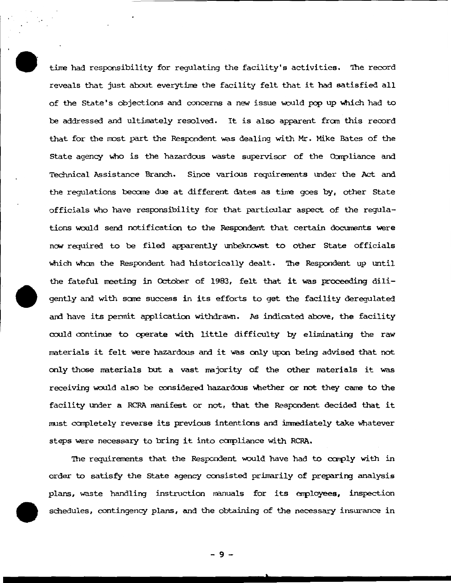time had responsibility for requlating the facility's activities. The record reveals that just about everytime the facility felt that it had satisfied all of the State's objections and concerns a new issue would pop up which had to be addressed and ultimately resolved. It is also apparent fran this record that for the rrost part the Respondent was dealing with Mr. Mike Bates of the State agency who is the hazardous waste supervisor of the Compliance and Technical Assistance Branch. Since various requirements under the Act and the regulations becare due at different dates as time goes by, other State officials Who have responsibility for that particular aspect of the regulations would send notification to the Respondent that certain documents were now required to be filed apparently unbeknowst to other State officials which whom the Respondent had historically dealt. The Respondent up until the fateful meeting in cctober of 1983, felt that it was proceeding diligently and with same success in its efforts to get the facility deregulated and have its pennit application withdrawn. As indicated above, the facility could continue to operate with little difficulty by eliminating the raw naterials it felt were hazardous and it was only upon being advised that not only those materials but a vast najority of the other materials it was receiving would also be considered hazardous whether or not they came to the facility under a RCRA manifest or not, that the Respondent decided that it must completely reverse its previous intentions and immediately take Whatever steps were necessary to bring it into compliance with RCRA.

The requirements that the Respondent would have had to comply with in order to satisfy the State agency consisted primarily of preparing analysis plans, waste handling instruction manuals for its employees, inspection schedules, contingency plans, and the obtaining of the necessary insurance in

- 9-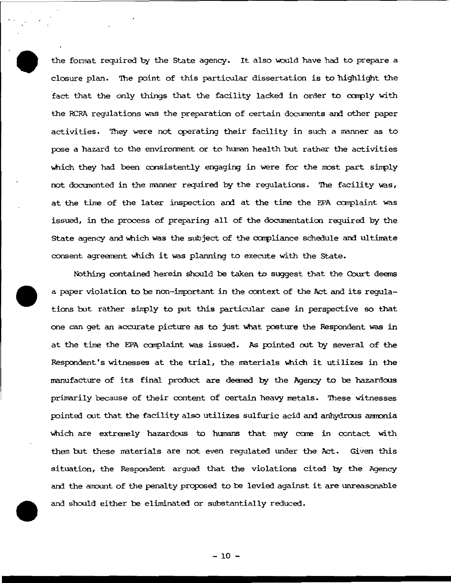the format required by the State agency. It also would have had to prepare a closure plan. The point of this particular dissertation is to highlight the fact that the only things that the facility lacked in order to comply with the RCRA regulations was the preparation of certain documents and other paper activities. They were not operating their facility in such a manner as to pose a hazard to the environment or to human health but rather the activities which they had been consistently engaging in were for the most part simply not documented in the manner required by the requlations. The facility was, at the time of the later inspection and at the time the EPA complaint was issued, in the process of preparing all of the documentation required by the State agency and which was the subject of the compliance schedule and ultimate consent agreement which it was planning to execute with the State.

Nothing contained herein should be taken to suggest that the Court deems a paper violation to be non-important in the context of the Act and its regulations but rather simply to put this particular case in perspective so that one can get an accurate picture as to just what posture the Respondent was in at the time the EPA complaint was issued. As pointed out by several of the Respondent's witnesses at the trial, the materials which it utilizes in the manufacture of its final product are deemed by the Agency to be hazardous primarily because of their content of certain heavy metals. These witnesses pointed out that the facility also utilizes sulfuric acid and anhydrous ammonia which are extremely hazardous to humans that may come in contact with them but these materials are not even regulated under the Act. Given this situation, the Respondent arqued that the violations cited by the Agency and the amount of the penalty proposed to be levied against it are unreasonable and should either be eliminated or substantially reduced.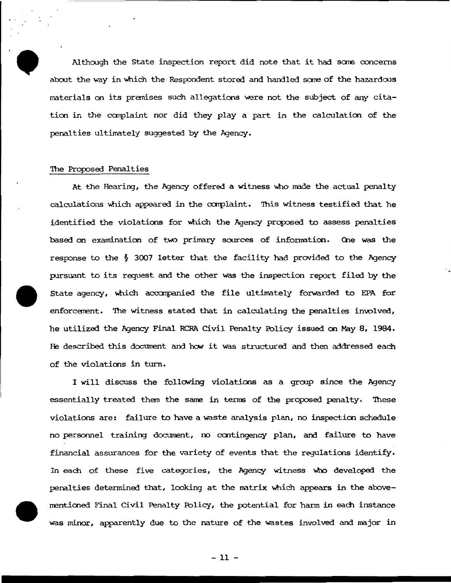Although the State inspection report did note that it had some concerns about the way in which the Respondent stored and handled some of the hazardous materials on its premises such allegations were not the subject of any citation in the ccnplaint nor did they play a part in the calculation of the penalties ultimately suggested by the Agency.

### The Proposed Penalties

At the Hearing, the Agency offered a witness who made the actual penalty calculations which appeared in the complaint. This witness testified that he identified the violations for which the Agency proposed to assess penalties based on examination of two primary sources of information. One was the response to the  $§$  3007 letter that the facility had provided to the Agency pursuant to its request and the other was the inspection report filed by the State agency, which accompanied the file ultimately forwarded to EPA for enforcement. The witness stated that in calculating the penalties involved, he utilized the Agency Final RCRA Civil Penalty Policy issued on May 8, 1984. He described this document and how it was structured and then addressed each of the violations in turn.

I will discuss the following violations as a group since the Agency essentially treated them the same in terms of the proposed penalty. These violations are: failure to have a waste analysis plan, no inspection schedule no personnel training document, no contingency plan, and failure to have financial assurances for the variety of events that the regulations identify. In each of these five categories, the Agency witness who developed the penalties determined that, looking at the matrix which appears in the abovenentioned Final Civil Penalty Fblicy, the potential for hann in each instance was minor, apparently due to the nature of the wastes involved and major in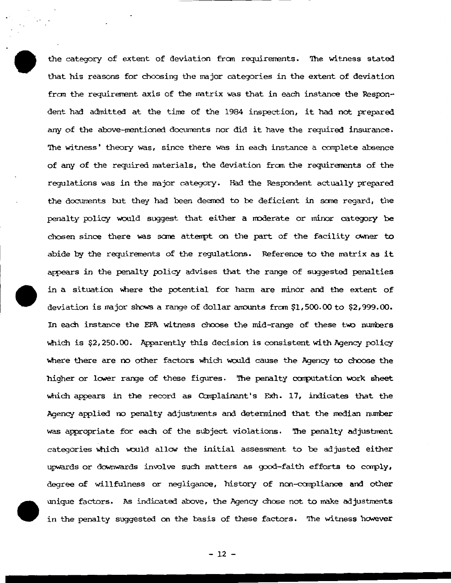the category of extent of deviation from requirements. The witness stated that his reasons for choosing the major categories in the extent of deviation from the requirement axis of the matrix was that in each instance the Respondent had admitted at the time of the 1984 inspection, it had not prepared any of the above-mentioned documents nor did it have the required insurance. The witness' theory was, since there was in each instance a complete absence of any of the required materials, the deviation from the requirements of the requlations was in the major category. Had the Respondent actually prepared the documents but they had been deemed to be deficient in some regard, the penalty policy would suggest that either a moderate or minor category be chosen since there was some attempt on the part of the facility owner to abide by the requirements of the regulations. Reference to the matrix as it appears in the penalty policy advises that the range of suggested penalties in a situation where the potential for harm are minor and the extent of deviation is major shows a range of dollar amounts from \$1,500.00 to \$2,999.00. In each instance the EPA witness choose the mid-range of these two numbers which is \$2,250.00. Apparently this decision is consistent with Agency policy where there are no other factors which would cause the Agency to choose the higher or lower range of these figures. The penalty computation work sheet which appears in the record as Complainant's Exh. 17, indicates that the Agency applied no penalty adjustments and determined that the median number was appropriate for each of the subject violations. The penalty adjustment categories which would allow the initial assessment to be adjusted either upwards or downwards involve such matters as good-faith efforts to comply, degree of willfulness or negligance, history of non-compliance and other unique factors. As indicated above, the Agency chose not to make adjustments in the penalty suggested on the basis of these factors. The witness however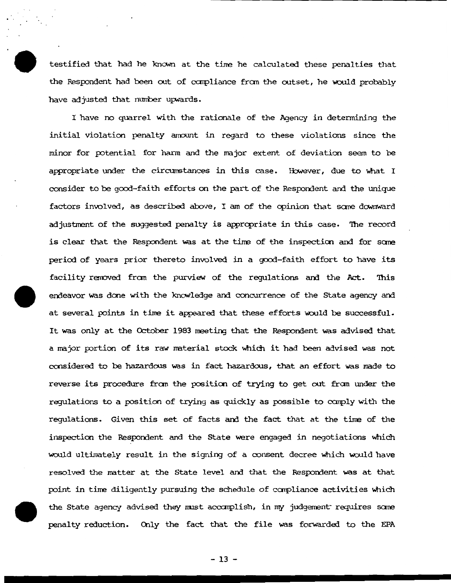testified that had he known at the time he calculated these penalties that the Respondent had been out of compliance from the outset, he would probably have adjusted that number upwards.

I have no quarrel with the rationale of the Agency in detennining the initial violation penalty anount in regard to these violations since the minor for potential for harm and the major extent of deviation seem to be appropriate under the circumstances in this case. However, due to what I consider to be good-faith efforts on the part of the Respondent and the unique factors involved, as described above, I am of the opinion that some downward adjustment of the suggested penalty is appropriate in this case. The record is clear that the Respondent was at the time of the inspection and for some period of years prior thereto involved in a good-faith effort to have its facility removed from the purview of the requlations and the Act. This endeavor was done with the knowledge and concurrence of the State agency and at several points in time it appeared that these efforts would be successful. It was only at the October 1983 meeting that the Respondent was advised that a major portion of its raw material stock which it had been advised was not ccnsidered to be hazardous was in fact hazardous, that an effort was nade to reverse its procedure from the position of trying to get out from under the regulations to a position of trying as quickly as possible to carply with the regulations. Given this set of facts and the fact that at the time of the inspection the Respondent and the State were engaged in negotiations which would ultimately result in the signing of a consent decree which would have resolved the matter at the State level and that the Respondent was at that point in time diligently pursuing the schedule of compliance activities which the State agency advised they must accomplish, in my judgement requires some penalty reduction. Only the fact that the file was forwarded to the EPA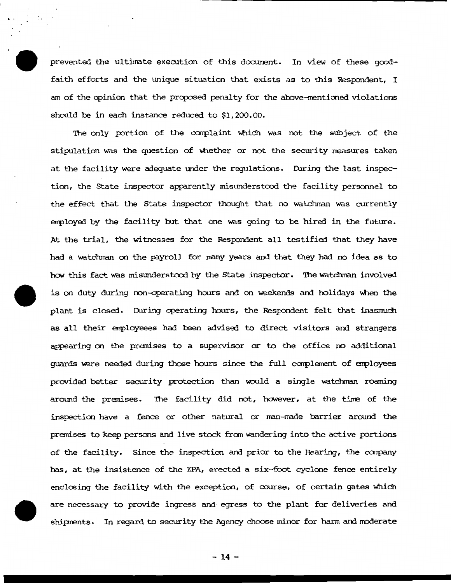prevented the ultimate execution of this document. In view of these goodfaith efforts and the unique situation that exists as to this Respondent, I am of the opinion that the proposed penalty for the above-mentioned violations should be in each instance reduced to \$1, 200.00.

The only portion of the complaint which was not the subject of the stipulation was the question of whether or not the security measures taken at the facility were adequate under the requlations. During the last inspection, the state inspector apparently misunderstood the facility persormel to the effect that the State inspector thought that no watchman was currently employed by the facility but that one was going to be hired in the future. At the trial, the witnesses for the Respondent all testified that they have had a watchman on the payroll for many years and that they had no idea as to heM this fact was misunderstood by the State inspector. '!he watchnan involved is on duty during non-operating hours and on weekends and holidays when the plant is closed. During operating hours, the Respondent felt that inasmuch as all their employeees had been advised to direct visitors and strangers appearing on the premises to a supervisor or to the office no additional guards were needed during those hours since the full ccnplerrent of enployees provided better security protection than would a single watchman roaming around the premises. The facility did not, however, at the time of the inspection have a fence or other natural or man-made barrier around the premises to keep persons and live stock from wandering into the active portions of the facility. Since the inspection and prior to the Hearing, the company has, at the insistence of the EPA, erected a six-foot cyclone fence entirely enclosing the facility with the exception, of  $\omega$ urse, of certain gates which are necessary to provide ingress and· egress to the plant for deliveries and shipments. In regard to security the Agency choose minor for harm and moderate

 $-14 -$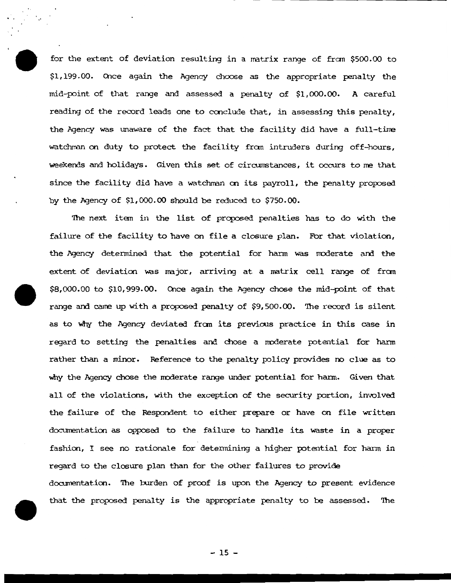for the extent of deviation resulting in a matrix range of fran \$500.00 to \$1,199.00. Once again the Agency choose as the appropriate penalty the  $mid$ -point of that range and assessed a penalty of \$1,000.00. A careful reading of the record leads one to conclude that, in assessing this penalty, the Agency was unaware of the fact that the facility did have a full-time watchman on duty to protect the facility from intruders during off-hours, weekends and holidays. Given this set of circumstances, it occurs to me that since the facility did have a watchman an its payroll, the penalty proposed by the Agency of \$1,000.00 should be reduced to \$750.00.

'Ihe next item in the list of proposed penalties has to do with the failure of the facility to have on file a closure plan. For that violation, the Agency determined that the potential for harm was moderate and the extent of deviation was major, arriving at a matrix cell range of from  $$8,000.00$  to  $$10,999.00$ . Once again the Agency chose the mid-point of that range and came up with a proposed penalty of \$9,500.00. The record is silent as to Why the Agency deviated fran its previcus practice in this case in regard to setting the penalties and chose a moderate potential for harm rather than a minor. Reference to the penalty policy provides no clue as to why the Agency chose the moderate range under potential for harm. Given that all of the violations, with the exception of the security portion, involved the failure of the Respondent to either prepare or have on file written documentation as opposed to the failure to handle its waste in a proper fashion, I see no rationale for determining a higher potential for harm in regard to the closure plan than for the other failures to provide documentation. The burden of proof is upon the Agency to present evidence that the proposed penalty is the appropriate penalty to be assessed. 'Ihe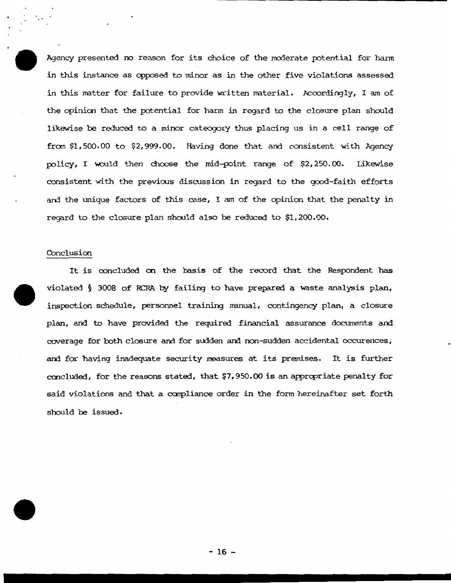Agency presented no reason for its choice of the moderate potential for harm in this instance as opposed to minor as in the other five violations assessed in this matter for failure to provide written material. Accordingly, I am of the opinicn that the potential for hann in regard to the closure plan should likewise be reduced to a minor cateogory thus placing us in a cell range of from \$1,500.00 to \$2, 999.00. Having done that and consistent with Agency policy, I would then choose the mid-point range of \$2,250.00. Likewise consistent with the previous discussion in regard to the good-faith efforts and the unique factors of this case, I am of the opinion that the penalty in regard to the closure plan should also be reduced to \$1, 200.00.

### Conclusion

It is concluded on the basis of the record that the Respondent has violated § 3008 of RCRA by failing to have prepared a waste analysis plan, inspection schedule, personnel training manual, contingency plan, a closure plan, and to have provided the required financial assurance documents and coverage for both closure and for sudden and non-sudden accidental occurences, and for having inadequate security measures at its premises. It is further concluded, for the reasons stated, that \$7,950.00 is an appropriate penalty for said violations and that a compliance order in the fonn hereinafter set forth should be issued.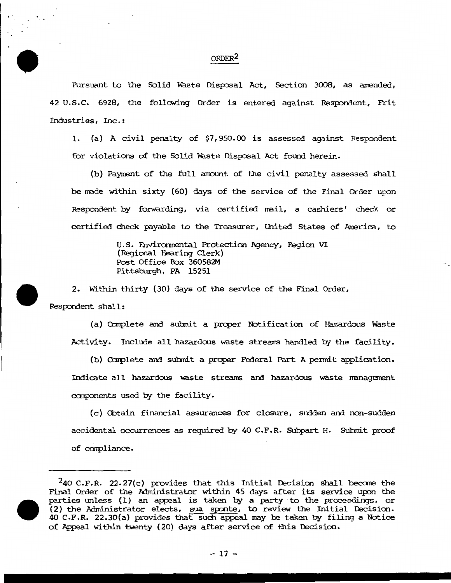## ORDER<sup>2</sup>

Pursuant to the Solid Waste Disposal Act, Section 3008, as amended, 42 U.S.C. 6928, the following Order is entered against Respondent, Frit Industries, Inc. :

1. (a) A civil penalty of \$7,950.00 is assessed against Respondent for violations of the Solid Waste Disposal Act found herein.

(b) Payment of the full amount of the civil penalty assessed shall be made within sixty (60) days of the service of the Final Order upon Respondent by forwarding, via certified mail, a cashiers' check or certified check payable to the Treasurer, United States of America, to

> U.S. Environmental Protection Agency, Region VI (Regional Hearing Clerk) Post Office Box 360582M Pittsburgh, PA 15251

2. Within thirty (30) days of the service of the Final Order,

Respondent shall:

(a) Complete and submit a proper Notification of Hazardous Waste Activity. Include all hazardous waste streams handled by the facility.

(b) Complete and submit a proper Federal Part A permit application. Indicate all hazardcus waste streams and hazardcus waste nanagement components used by the facility.

( c} Cbtain financial assurances for closure, sudden and non-sudden accidental occurrences as required by 40 C.F.R. Subpart H. Submit proof of carpliance.

 $240$  C.F.R. 22.27(c) provides that this Initial Decision shall became the Final Order of the Administrator within 45 days after its service upon the parties unless (1) an appeal is taken by a party to the proceedings, or (2) the Administrator elects, sua sponte, to review the Initial Decision. 40 C.F.R. 22.30(a) provides that such appeal may be taken by filing a Notice of Appeal within twenty {20) days after service of this Decision.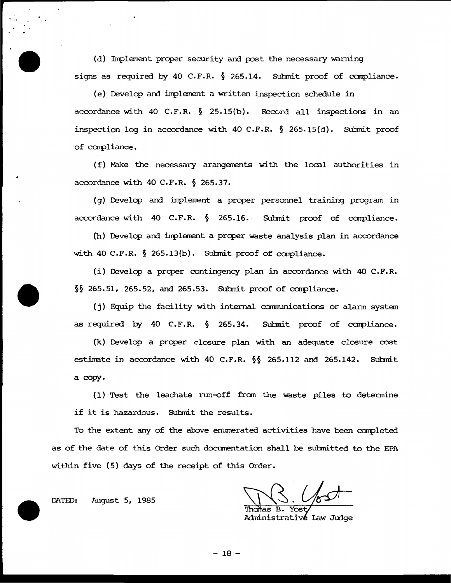(d) Implement proper security and post the necessary warning signs as required by 40 C.F.R.  $\S$  265.14. Submit proof of compliance.

(e) Develop and implement a written inspection schedule in accordance with 40 C.F.R.  $\S$  25.15(b). Record all inspections in an inspection log in accordance with 40 C.F.R.  $\S$  265.15(d). Submit proof of carpliance.

(f) Make the necessary arangements with the local authorities in accordance with 40 C.F.R. § 265.37.

(g) Develop and implement a proper personnel training program in accordance with 40 C.F.R.  $\S$  265.16. Submit proof of compliance.

(h) Develop and implement a proper waste analysis plan in accordance with 40 C.F.R. § 265.13(b). Submit proof of compliance.

(i) Develop a proper contingency plan in accordance with 40 C.F.R.  $§$ § 265.51, 265.52, and 265.53. Submit proof of compliance.

(i) Equip the facility with internal communications or alarm system as required by 40 C.F.R.  $\S$  265.34. Submit proof of compliance.

(k) Develop a prcper closure plan with an adequate closure cost estimate in accordance with 40 C.F.R.  $\S$  265.112 and 265.142. Submit a copy.

( 1) Test the leachate run-off fran the waste piles to determine if it is hazardous. Submit the results.

To the extent any of the above enumerated activities have been completed as of the date of this Order such documentation shall be submitted to the EPA within five (5} days of the receipt of this Order.

Administrativé Law Judge

DATED: August 5, 1985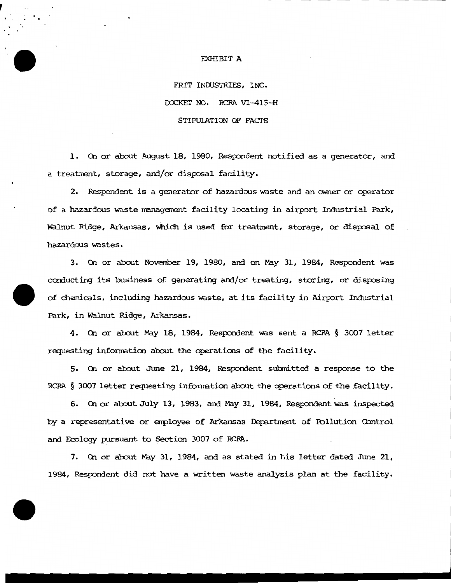#### EXHIBIT A

FRIT INDUSTRIES, INC. DOCKET NO. RCRA VI-415-H STIPUlATION OF FACfS

1. On or about August 18, 1980, Respondent notified as a generator, and a treatment, storage, and/or disposal facility.

2. Respondent is a generator of hazardous waste and an owner or operator of a hazardous waste managarent facility locating in airport Industrial Park, Walnut Ridge, Arkansas, which is used for treatment, storage, or disposal of hazardous wastes.

3. On or about November 19, 1980, and on May 31, 1984, Respondent was conducting its business of generating and/or treating, storing, or disposing of chemicals, including hazardoos waste, at its facility in Airport Industrial Park, in walnut Ridge, Arkansas.

4. On or about May 18, 1984, Respondent was sent a RCRA § 3007 letter requesting information about the operations of the facility.

5. On or about June 21, 1984, Respondent submitted a response to the RCRA § 3007 letter requesting infonnation about the operations of the facility.

6. On or about July 13, 1983, and May 31, 1984, Respondent was inspected by a representative or employee of Arkansas Department of Pollution Control and Ecology pursuant to Section 3007 of RCRA.

7. On or about May 31, 1984, and as stated in his letter dated June 21, 1984, Respondent did not have a written waste analysis plan at the facility.